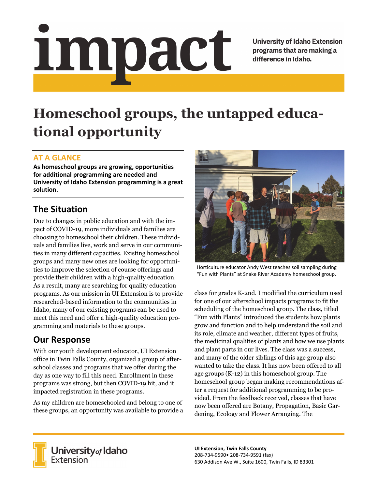# impact

**University of Idaho Extension** programs that are making a difference in Idaho.

# **Homeschool groups, the untapped educational opportunity**

### **AT A GLANCE**

**As homeschool groups are growing, opportunities for additional programming are needed and University of Idaho Extension programming is a great solution.** 

# **The Situation**

Due to changes in public education and with the impact of COVID-19, more individuals and families are choosing to homeschool their children. These individuals and families live, work and serve in our communities in many different capacities. Existing homeschool groups and many new ones are looking for opportunities to improve the selection of course offerings and provide their children with a high-quality education. As a result, many are searching for quality education programs. As our mission in UI Extension is to provide researched-based information to the communities in Idaho, many of our existing programs can be used to meet this need and offer a high-quality education programming and materials to these groups.

## **Our Response**

With our youth development educator, UI Extension office in Twin Falls County, organized a group of afterschool classes and programs that we offer during the day as one way to fill this need. Enrollment in these programs was strong, but then COVID-19 hit, and it impacted registration in these programs.

As my children are homeschooled and belong to one of these groups, an opportunity was available to provide a



Horticulture educator Andy West teaches soil sampling during "Fun with Plants" at Snake River Academy homeschool group.

class for grades K-2nd. I modified the curriculum used for one of our afterschool impacts programs to fit the scheduling of the homeschool group. The class, titled "Fun with Plants" introduced the students how plants grow and function and to help understand the soil and its role, climate and weather, different types of fruits, the medicinal qualities of plants and how we use plants and plant parts in our lives. The class was a success, and many of the older siblings of this age group also wanted to take the class. It has now been offered to all age groups (K-12) in this homeschool group. The homeschool group began making recommendations after a request for additional programming to be provided. From the feedback received, classes that have now been offered are Botany, Propagation, Basic Gardening, Ecology and Flower Arranging. The



University of Idaho<br>Extension

**UI Extension, Twin Falls County**  208‐734‐9590• 208‐734‐9591 (fax) 630 Addison Ave W., Suite 1600, Twin Falls, ID 83301